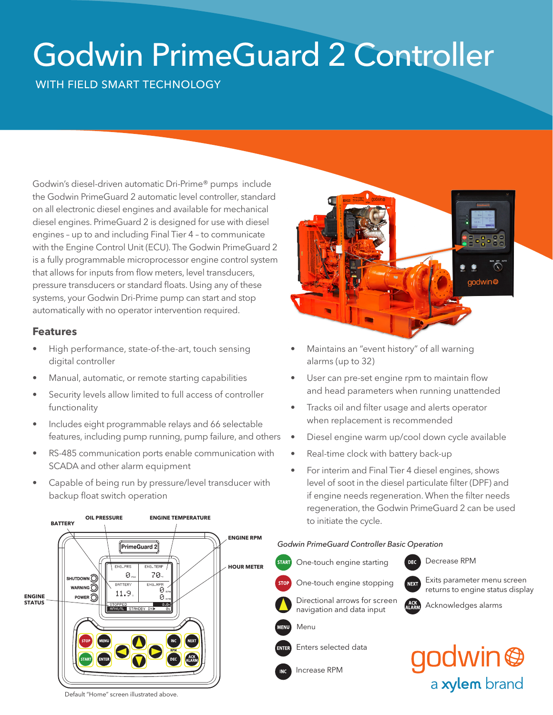# Godwin PrimeGuard 2 Controller

# WITH FIELD SMART TECHNOLOGY

Godwin's diesel-driven automatic Dri-Prime® pumps include the Godwin PrimeGuard 2 automatic level controller, standard on all electronic diesel engines and available for mechanical diesel engines. PrimeGuard 2 is designed for use with diesel engines – up to and including Final Tier 4 – to communicate with the Engine Control Unit (ECU). The Godwin PrimeGuard 2 is a fully programmable microprocessor engine control system that allows for inputs from flow meters, level transducers, pressure transducers or standard floats. Using any of these systems, your Godwin Dri-Prime pump can start and stop automatically with no operator intervention required.

### **Features**

- High performance, state-of-the-art, touch sensing digital controller
- Manual, automatic, or remote starting capabilities
- Security levels allow limited to full access of controller functionality
- Includes eight programmable relays and 66 selectable features, including pump running, pump failure, and others
- RS-485 communication ports enable communication with SCADA and other alarm equipment
- Capable of being run by pressure/level transducer with backup float switch operation



- Maintains an "event history" of all warning alarms (up to 32)
- User can pre-set engine rpm to maintain flow and head parameters when running unattended
- Tracks oil and filter usage and alerts operator when replacement is recommended
- Diesel engine warm up/cool down cycle available
- Real-time clock with battery back-up
- For interim and Final Tier 4 diesel engines, shows level of soot in the diesel particulate filter (DPF) and if engine needs regeneration. When the filter needs regeneration, the Godwin PrimeGuard 2 can be used to initiate the cycle.

#### Decrease RPM *Godwin PrimeGuard Controller Basic Operation Godwin PrimeGuard Controller Basic Operation*



Decrease RPM  $DEC$ Exits parameter menu screen

returns to engine status display **Exits parameter menu screen** 

Directional arrows for served<br>navigation and data input Directional arrows for screen

Menu

Enters selected data

Increase RPM

godwin @ a xylem brand

Acknowledges alarms



Default "Home" screen illustrated above.